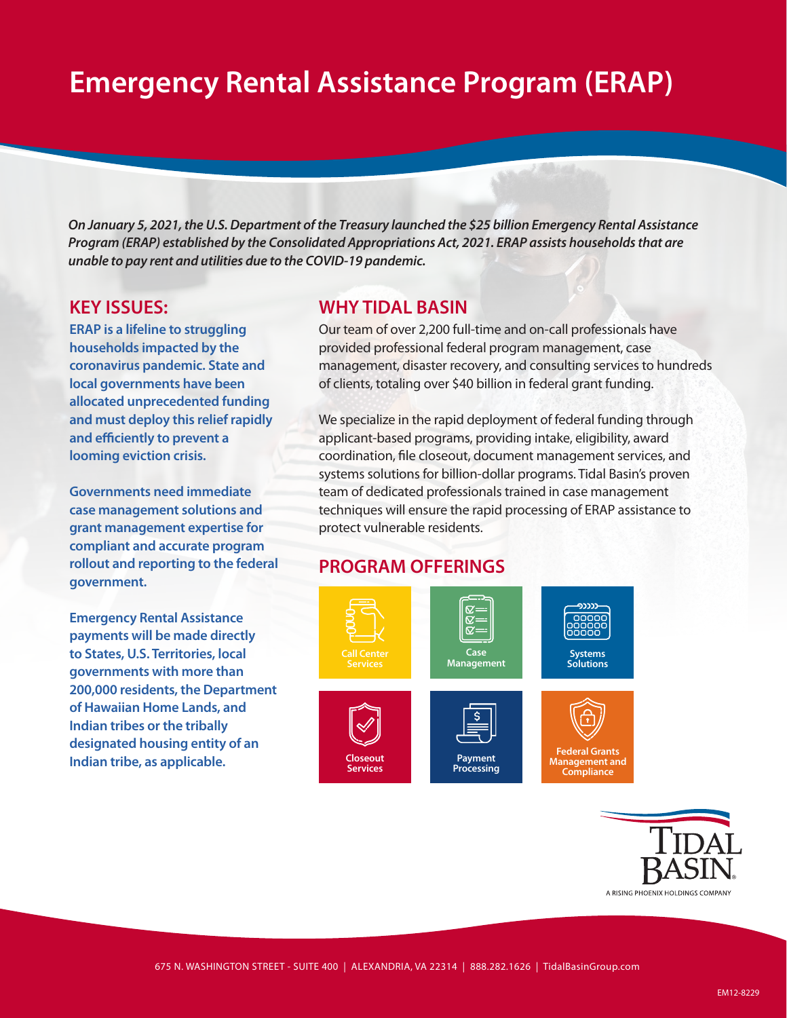# **Emergency Rental Assistance Program (ERAP)**

*On January 5, 2021, the U.S. Department of the Treasury launched the \$25 billion Emergency Rental Assistance Program (ERAP) established by the Consolidated Appropriations Act, 2021. ERAP assists households that are unable to pay rent and utilities due to the COVID-19 pandemic.*

#### **KEY ISSUES:**

**ERAP is a lifeline to struggling households impacted by the coronavirus pandemic. State and local governments have been allocated unprecedented funding and must deploy this relief rapidly and efficiently to prevent a looming eviction crisis.**

**Governments need immediate case management solutions and grant management expertise for compliant and accurate program rollout and reporting to the federal government.**

**Emergency Rental Assistance payments will be made directly to States, U.S. Territories, local governments with more than 200,000 residents, the Department of Hawaiian Home Lands, and Indian tribes or the tribally designated housing entity of an Indian tribe, as applicable.**

#### **WHY TIDAL BASIN**

Our team of over 2,200 full-time and on-call professionals have provided professional federal program management, case management, disaster recovery, and consulting services to hundreds of clients, totaling over \$40 billion in federal grant funding.

We specialize in the rapid deployment of federal funding through applicant-based programs, providing intake, eligibility, award coordination, file closeout, document management services, and systems solutions for billion-dollar programs. Tidal Basin's proven team of dedicated professionals trained in case management techniques will ensure the rapid processing of ERAP assistance to protect vulnerable residents.

### **PROGRAM OFFERINGS**





675 N. WASHINGTON STREET - SUITE 400 | ALEXANDRIA, VA 22314 | 888.282.1626 | TidalBasinGroup.com